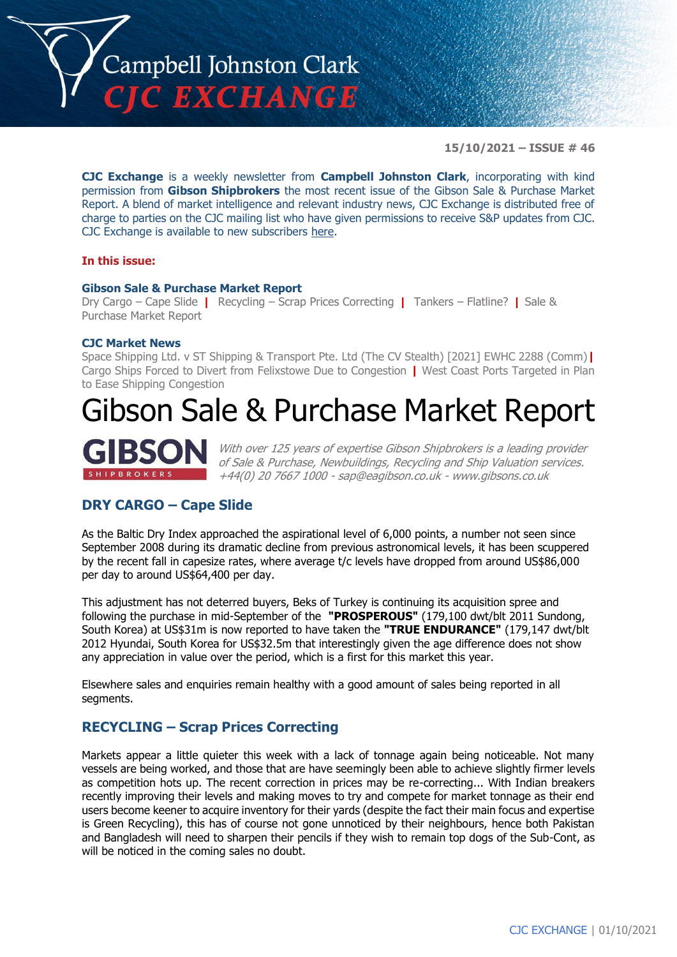

**15/10/2021 – ISSUE # 46**

**CJC Exchange** is a weekly newsletter from **Campbell Johnston Clark**, incorporating with kind permission from **Gibson Shipbrokers** the most recent issue of the Gibson Sale & Purchase Market Report. A blend of market intelligence and relevant industry news, CJC Exchange is distributed free of charge to parties on the CJC mailing list who have given permissions to receive S&P updates from CJC. CJC Exchange is available to new subscribers [here.](mailto:jamesc@cjclaw.com?subject=CJC%20Exchange%20sign-up)

## **In this issue:**

## **Gibson Sale & Purchase Market Report**

Dry Cargo – Cape Slide **|** Recycling – Scrap Prices Correcting **|** Tankers – Flatline? **|** Sale & Purchase Market Report

## **CJC Market News**

Space Shipping Ltd. v ST Shipping & Transport Pte. Ltd (The CV Stealth) [2021] EWHC 2288 (Comm)**|** Cargo Ships Forced to Divert from Felixstowe Due to Congestion **|** West Coast Ports Targeted in Plan to Ease Shipping Congestion

# Gibson Sale & Purchase Market Report



With over 125 years of expertise Gibson Shipbrokers is a leading provider of Sale & Purchase, Newbuildings, Recycling and Ship Valuation services. +44(0) 20 7667 1000 - [sap@eagibson.co.uk](mailto:sap@eagibson.co.uk) - [www.gibsons.co.uk](https://protect-eu.mimecast.com/s/VO6nCGZzRS60KqcK1jQh/)

# **DRY CARGO – Cape Slide**

As the Baltic Dry Index approached the aspirational level of 6,000 points, a number not seen since September 2008 during its dramatic decline from previous astronomical levels, it has been scuppered by the recent fall in capesize rates, where average t/c levels have dropped from around US\$86,000 per day to around US\$64,400 per day.

This adjustment has not deterred buyers, Beks of Turkey is continuing its acquisition spree and following the purchase in mid-September of the **"PROSPEROUS"** (179,100 dwt/blt 2011 Sundong, South Korea) at US\$31m is now reported to have taken the **"TRUE ENDURANCE"** (179,147 dwt/blt 2012 Hyundai, South Korea for US\$32.5m that interestingly given the age difference does not show any appreciation in value over the period, which is a first for this market this year.

Elsewhere sales and enquiries remain healthy with a good amount of sales being reported in all segments.

# **RECYCLING – Scrap Prices Correcting**

Markets appear a little quieter this week with a lack of tonnage again being noticeable. Not many vessels are being worked, and those that are have seemingly been able to achieve slightly firmer levels as competition hots up. The recent correction in prices may be re-correcting... With Indian breakers recently improving their levels and making moves to try and compete for market tonnage as their end users become keener to acquire inventory for their yards (despite the fact their main focus and expertise is Green Recycling), this has of course not gone unnoticed by their neighbours, hence both Pakistan and Bangladesh will need to sharpen their pencils if they wish to remain top dogs of the Sub-Cont, as will be noticed in the coming sales no doubt.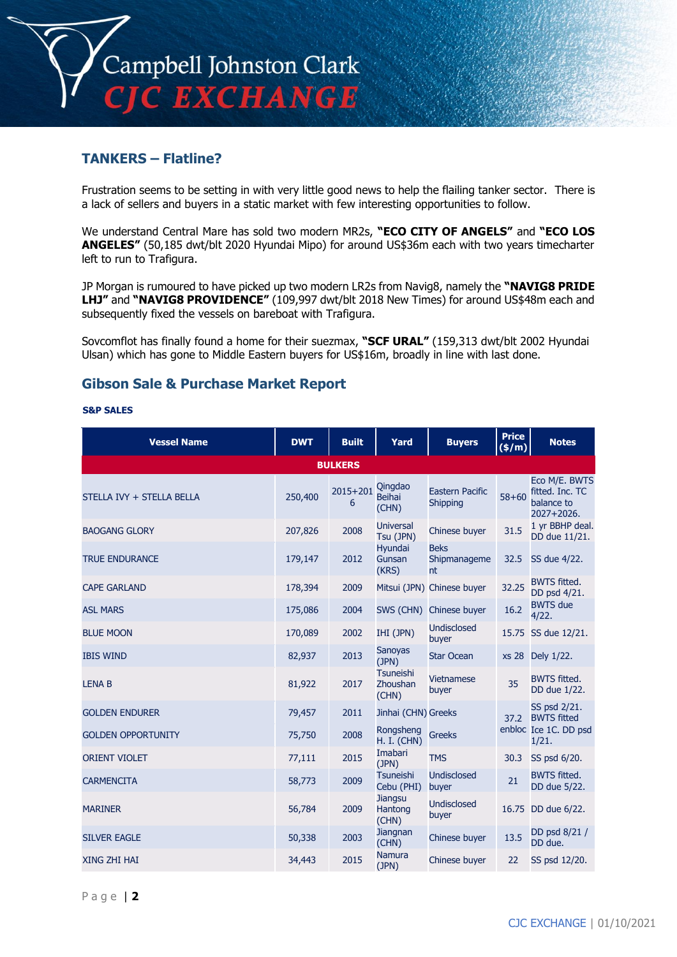

# **TANKERS – Flatline?**

Frustration seems to be setting in with very little good news to help the flailing tanker sector. There is a lack of sellers and buyers in a static market with few interesting opportunities to follow.

We understand Central Mare has sold two modern MR2s, **"ECO CITY OF ANGELS"** and **"ECO LOS ANGELES"** (50,185 dwt/blt 2020 Hyundai Mipo) for around US\$36m each with two years timecharter left to run to Trafigura.

JP Morgan is rumoured to have picked up two modern LR2s from Navig8, namely the **"NAVIG8 PRIDE LHJ"** and **"NAVIG8 PROVIDENCE"** (109,997 dwt/blt 2018 New Times) for around US\$48m each and subsequently fixed the vessels on bareboat with Trafigura.

Sovcomflot has finally found a home for their suezmax, **"SCF URAL"** (159,313 dwt/blt 2002 Hyundai Ulsan) which has gone to Middle Eastern buyers for US\$16m, broadly in line with last done.

## **Gibson Sale & Purchase Market Report**

### **S&P SALES**

| <b>Vessel Name</b>        | <b>DWT</b> | <b>Built</b>      | Yard                               | <b>Buyers</b>                                | <b>Price</b><br>(\$/m) | <b>Notes</b>                                                     |  |  |
|---------------------------|------------|-------------------|------------------------------------|----------------------------------------------|------------------------|------------------------------------------------------------------|--|--|
| <b>BULKERS</b>            |            |                   |                                    |                                              |                        |                                                                  |  |  |
| STELLA IVY + STELLA BELLA | 250,400    | $2015 + 201$<br>6 | Qingdao<br><b>Beihai</b><br>(CHN)  | <b>Eastern Pacific</b><br>Shipping           | $58 + 60$              | Eco M/E. BWTS<br>fitted. Inc. TC<br>balance to<br>$2027 + 2026.$ |  |  |
| <b>BAOGANG GLORY</b>      | 207,826    | 2008              | <b>Universal</b><br>Tsu (JPN)      | Chinese buyer                                | 31.5                   | 1 yr BBHP deal.<br>DD due 11/21.                                 |  |  |
| <b>TRUE ENDURANCE</b>     | 179,147    | 2012              | Hyundai<br>Gunsan<br>(KRS)         | <b>Beks</b><br>Shipmanageme<br><sub>nt</sub> | 32.5                   | SS due 4/22.                                                     |  |  |
| <b>CAPE GARLAND</b>       | 178,394    | 2009              |                                    | Mitsui (JPN) Chinese buyer                   | 32.25                  | <b>BWTS fitted.</b><br>DD psd 4/21.                              |  |  |
| <b>ASL MARS</b>           | 175,086    | 2004              |                                    | SWS (CHN) Chinese buyer                      | 16.2                   | <b>BWTS</b> due<br>4/22.                                         |  |  |
| <b>BLUE MOON</b>          | 170,089    | 2002              | IHI (JPN)                          | <b>Undisclosed</b><br>buyer                  |                        | 15.75 SS due 12/21.                                              |  |  |
| <b>IBIS WIND</b>          | 82,937     | 2013              | <b>Sanoyas</b><br>(JPN)            | <b>Star Ocean</b>                            |                        | xs 28 Dely 1/22.                                                 |  |  |
| <b>LENA B</b>             | 81,922     | 2017              | Tsuneishi<br>Zhoushan<br>(CHN)     | <b>Vietnamese</b><br>buyer                   | 35                     | <b>BWTS fitted.</b><br>DD due 1/22.                              |  |  |
| <b>GOLDEN ENDURER</b>     | 79,457     | 2011              | Jinhai (CHN) Greeks                |                                              |                        | SS psd 2/21.<br>37.2 BWTS fitted                                 |  |  |
| <b>GOLDEN OPPORTUNITY</b> | 75,750     | 2008              | Rongsheng<br><b>H. I. (CHN)</b>    | <b>Greeks</b>                                |                        | enbloc Ice 1C. DD psd<br>1/21.                                   |  |  |
| <b>ORIENT VIOLET</b>      | 77,111     | 2015              | Imabari<br>(JPN)                   | <b>TMS</b>                                   | 30.3                   | SS psd 6/20.                                                     |  |  |
| <b>CARMENCITA</b>         | 58,773     | 2009              | <b>Tsuneishi</b><br>Cebu (PHI)     | <b>Undisclosed</b><br>buyer                  | 21                     | <b>BWTS fitted.</b><br>DD due 5/22.                              |  |  |
| <b>MARINER</b>            | 56,784     | 2009              | <b>Jiangsu</b><br>Hantong<br>(CHN) | <b>Undisclosed</b><br>buyer                  |                        | 16.75 DD due 6/22.                                               |  |  |
| <b>SILVER EAGLE</b>       | 50,338     | 2003              | Jiangnan<br>(CHN)                  | Chinese buyer                                | 13.5                   | DD psd 8/21 /<br>DD due.                                         |  |  |
| <b>XING ZHI HAI</b>       | 34,443     | 2015              | <b>Namura</b><br>(JPN)             | Chinese buyer                                | 22                     | SS psd 12/20.                                                    |  |  |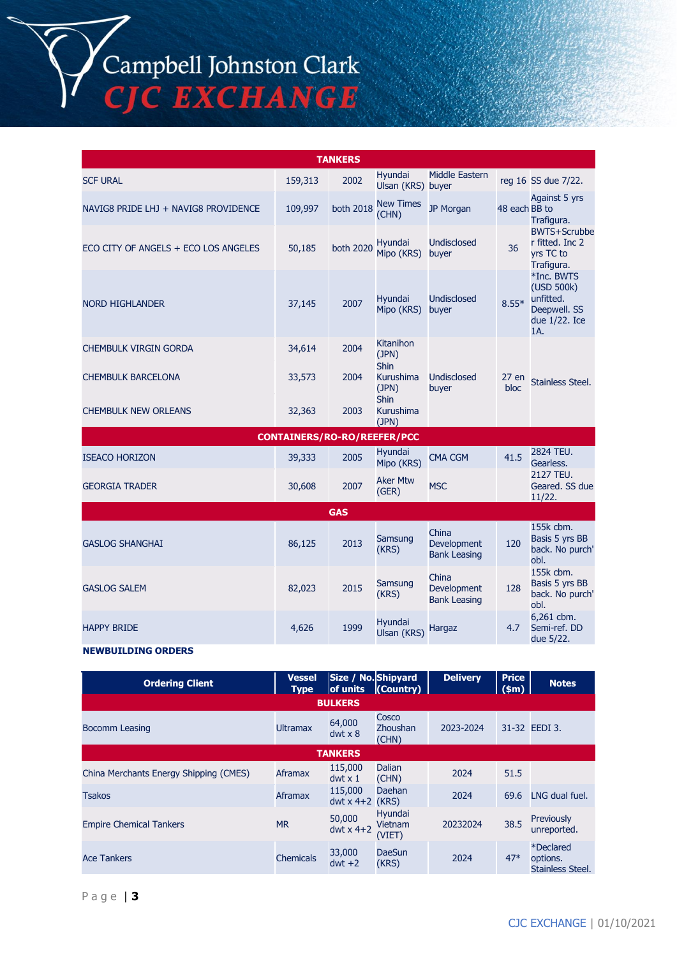Campbell Johnston Clark<br>CJC EXCHANGE

| <b>TANKERS</b>                       |         |      |                                 |                             |               |                                                                  |  |
|--------------------------------------|---------|------|---------------------------------|-----------------------------|---------------|------------------------------------------------------------------|--|
| <b>SCF URAL</b>                      | 159,313 | 2002 | Hyundai<br>Ulsan (KRS) buyer    | Middle Eastern              |               | reg 16 SS due 7/22.                                              |  |
| NAVIG8 PRIDE LHJ + NAVIG8 PROVIDENCE | 109,997 |      | both 2018 New Times             | JP Morgan                   | 48 each BB to | Against 5 yrs<br>Trafigura.                                      |  |
| ECO CITY OF ANGELS + ECO LOS ANGELES | 50,185  |      | both 2020 Hyundai<br>Mipo (KRS) | <b>Undisclosed</b><br>buyer | 36            | <b>BWTS+Scrubl</b><br>r fitted. Inc 2<br>yrs TC to<br>Trafigura. |  |

|                                    |        |      |                                   |                             |               | Trafigura.                                                                    |  |  |
|------------------------------------|--------|------|-----------------------------------|-----------------------------|---------------|-------------------------------------------------------------------------------|--|--|
| <b>NORD HIGHLANDER</b>             | 37,145 | 2007 | Hyundai<br>Mipo (KRS)             | <b>Undisclosed</b><br>buyer | $8.55*$       | *Inc. BWTS<br>(USD 500k)<br>unfitted.<br>Deepwell. SS<br>due 1/22. Ice<br>1A. |  |  |
| CHEMBULK VIRGIN GORDA              | 34,614 | 2004 | Kitanihon<br>(JPN)<br><b>Shin</b> |                             |               |                                                                               |  |  |
| <b>CHEMBULK BARCELONA</b>          | 33,573 | 2004 | Kurushima<br>(JPN)<br><b>Shin</b> | Undisclosed<br>buyer        | 27 en<br>bloc | Stainless Steel.                                                              |  |  |
| <b>CHEMBULK NEW ORLEANS</b>        | 32,363 | 2003 | Kurushima<br>(JPN)                |                             |               |                                                                               |  |  |
| <b>CONTAINERS/RO-RO/REEFER/PCC</b> |        |      |                                   |                             |               |                                                                               |  |  |
| <b>ISEACO HORIZON</b>              | 39,333 | 2005 | <b>Hyundai</b><br>Mipo (KRS)      | <b>CMA CGM</b>              | 41.5          | 2824 TEU.<br>Gearless.                                                        |  |  |
| <b>GEORGIA TRADER</b>              | 30,608 | 2007 | <b>Aker Mtw</b><br>(GER)          | <b>MSC</b>                  |               | 2127 TEU.<br>Geared. SS due<br>11/22.                                         |  |  |

| <b>GAS</b>             |        |      |                        |                                             |     |                                                        |  |
|------------------------|--------|------|------------------------|---------------------------------------------|-----|--------------------------------------------------------|--|
| <b>GASLOG SHANGHAI</b> | 86,125 | 2013 | Samsung<br>(KRS)       | China<br>Development<br><b>Bank Leasing</b> | 120 | 155k cbm.<br>Basis 5 yrs BB<br>back. No purch'<br>obl. |  |
| <b>GASLOG SALEM</b>    | 82,023 | 2015 | Samsung<br>(KRS)       | China<br>Development<br><b>Bank Leasing</b> | 128 | 155k cbm.<br>Basis 5 yrs BB<br>back. No purch'<br>obl. |  |
| <b>HAPPY BRIDE</b>     | 4,626  | 1999 | Hyundai<br>Ulsan (KRS) | Hargaz                                      | 4.7 | 6,261 cbm.<br>Semi-ref. DD<br>due 5/22.                |  |

### **NEWBUILDING ORDERS**

| <b>Ordering Client</b>                 | <b>Vessel</b><br><b>Type</b> | Size / No. Shipyard<br>of units | $\mathsf{Country)}$          | <b>Delivery</b> | <b>Price</b><br>\$m\$ | <b>Notes</b>                              |  |  |
|----------------------------------------|------------------------------|---------------------------------|------------------------------|-----------------|-----------------------|-------------------------------------------|--|--|
| <b>BULKERS</b>                         |                              |                                 |                              |                 |                       |                                           |  |  |
| <b>Bocomm Leasing</b>                  | <b>Ultramax</b>              | 64,000<br>$dwt \times 8$        | Cosco<br>Zhoushan<br>(CHN)   | 2023-2024       |                       | 31-32 EEDI 3.                             |  |  |
| <b>TANKERS</b>                         |                              |                                 |                              |                 |                       |                                           |  |  |
| China Merchants Energy Shipping (CMES) | Aframax                      | 115,000<br>$dwt \times 1$       | Dalian<br>(CHN)              | 2024            | 51.5                  |                                           |  |  |
| <b>Tsakos</b>                          | <b>Aframax</b>               | 115,000<br>dwt $x$ 4+2 (KRS)    | Daehan                       | 2024            | 69.6                  | LNG dual fuel.                            |  |  |
| <b>Empire Chemical Tankers</b>         | <b>MR</b>                    | 50,000<br>dwt $x$ 4+2           | Hyundai<br>Vietnam<br>(VIET) | 20232024        | 38.5                  | Previously<br>unreported.                 |  |  |
| <b>Ace Tankers</b>                     | <b>Chemicals</b>             | 33,000<br>$dwt +2$              | <b>DaeSun</b><br>(KRS)       | 2024            | $47*$                 | *Declared<br>options.<br>Stainless Steel. |  |  |

BWTS+Scrubbe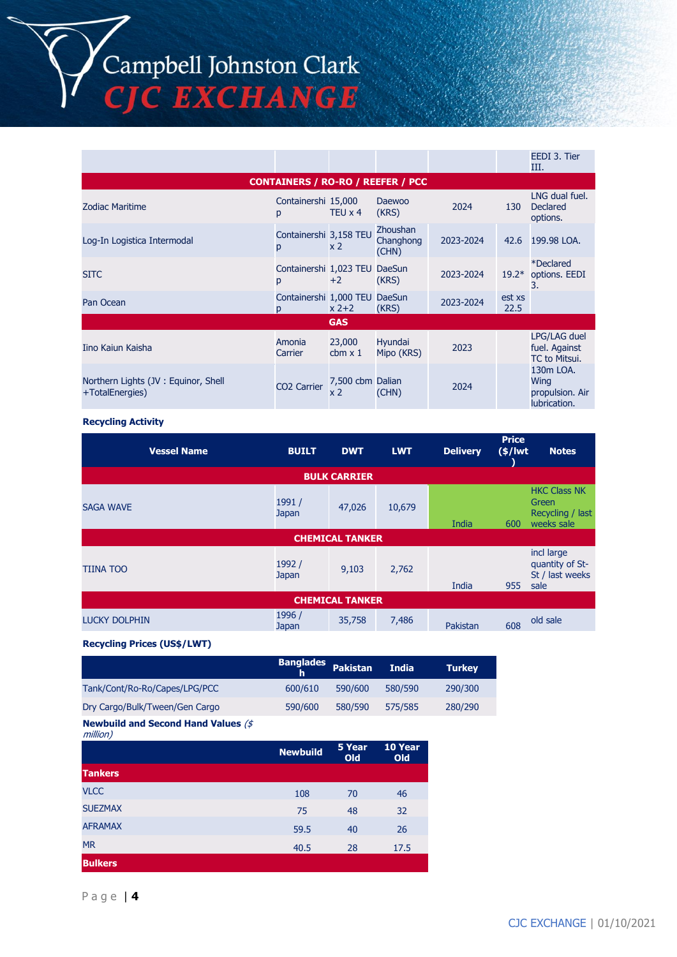Campbell Johnston Clark<br>CJC EXCHANGE

|                                                        |                                          |                                    |                                       |           |                | EEDI 3. Tier<br>Ш.                                   |
|--------------------------------------------------------|------------------------------------------|------------------------------------|---------------------------------------|-----------|----------------|------------------------------------------------------|
|                                                        | <b>CONTAINERS / RO-RO / REEFER / PCC</b> |                                    |                                       |           |                |                                                      |
| <b>Zodiac Maritime</b>                                 | Containershi 15,000<br>p                 | TEU $\times$ 4                     | Daewoo<br>(KRS)                       | 2024      | 130            | LNG dual fuel.<br><b>Declared</b><br>options.        |
| Log-In Logistica Intermodal                            | Containershi 3,158 TEU<br>p              | x 2                                | <b>Zhoushan</b><br>Changhong<br>(CHN) | 2023-2024 | 42.6           | 199.98 LOA.                                          |
| <b>SITC</b>                                            | Containershi 1,023 TEU<br>p              | $+2$                               | <b>DaeSun</b><br>(KRS)                | 2023-2024 | $19.2*$        | <i><b>*Declared</b></i><br>options. EEDI<br>3.       |
| Pan Ocean                                              | Containershi 1,000 TEU<br>D              | $x$ 2+2                            | <b>DaeSun</b><br>(KRS)                | 2023-2024 | est xs<br>22.5 |                                                      |
|                                                        |                                          | <b>GAS</b>                         |                                       |           |                |                                                      |
| Iino Kaiun Kaisha                                      | Amonia<br>Carrier                        | 23,000<br>cbm $\times$ 1           | Hyundai<br>Mipo (KRS)                 | 2023      |                | LPG/LAG duel<br>fuel. Against<br>TC to Mitsui.       |
| Northern Lights (JV: Equinor, Shell<br>+TotalEnergies) | CO <sub>2</sub> Carrier                  | 7,500 cbm Dalian<br>x <sub>2</sub> | (CHN)                                 | 2024      |                | 130m LOA.<br>Wing<br>propulsion. Air<br>lubrication. |

## **Recycling Activity**

| <b>Vessel Name</b>     | <b>BUILT</b>    | <b>DWT</b>             | <b>LWT</b> | <b>Delivery</b> | <b>Price</b><br>$(s/$ lwt | <b>Notes</b>                                                          |  |  |
|------------------------|-----------------|------------------------|------------|-----------------|---------------------------|-----------------------------------------------------------------------|--|--|
| <b>BULK CARRIER</b>    |                 |                        |            |                 |                           |                                                                       |  |  |
| <b>SAGA WAVE</b>       | 1991 /<br>Japan | 47,026                 | 10,679     | India           | 600                       | <b>HKC Class NK</b><br><b>Green</b><br>Recycling / last<br>weeks sale |  |  |
|                        |                 | <b>CHEMICAL TANKER</b> |            |                 |                           |                                                                       |  |  |
| <b>TIINA TOO</b>       | 1992 /<br>Japan | 9,103                  | 2,762      | India           | 955                       | incl large<br>quantity of St-<br>St / last weeks<br>sale              |  |  |
| <b>CHEMICAL TANKER</b> |                 |                        |            |                 |                           |                                                                       |  |  |
| <b>LUCKY DOLPHIN</b>   | 1996 /<br>Japan | 35,758                 | 7,486      | Pakistan        | 608                       | old sale                                                              |  |  |

## **Recycling Prices (US\$/LWT)**

|                                | <b>Banglades</b> | <b>Pakistan</b> | <b>India</b> | <b>Turkey</b> |
|--------------------------------|------------------|-----------------|--------------|---------------|
| Tank/Cont/Ro-Ro/Capes/LPG/PCC  | 600/610          | 590/600         | 580/590      | 290/300       |
| Dry Cargo/Bulk/Tween/Gen Cargo | 590/600          | 580/590         | 575/585      | 280/290       |
|                                |                  |                 |              |               |

#### **Newbuild and Second Hand Values** (\$ million)

| $\cdots$       |                 |               |                |
|----------------|-----------------|---------------|----------------|
|                | <b>Newbuild</b> | 5 Year<br>Old | 10 Year<br>Old |
| <b>Tankers</b> |                 |               |                |
| <b>VLCC</b>    | 108             | 70            | 46             |
| <b>SUEZMAX</b> | 75              | 48            | 32             |
| <b>AFRAMAX</b> | 59.5            | 40            | 26             |
| <b>MR</b>      | 40.5            | 28            | 17.5           |
| <b>Bulkers</b> |                 |               |                |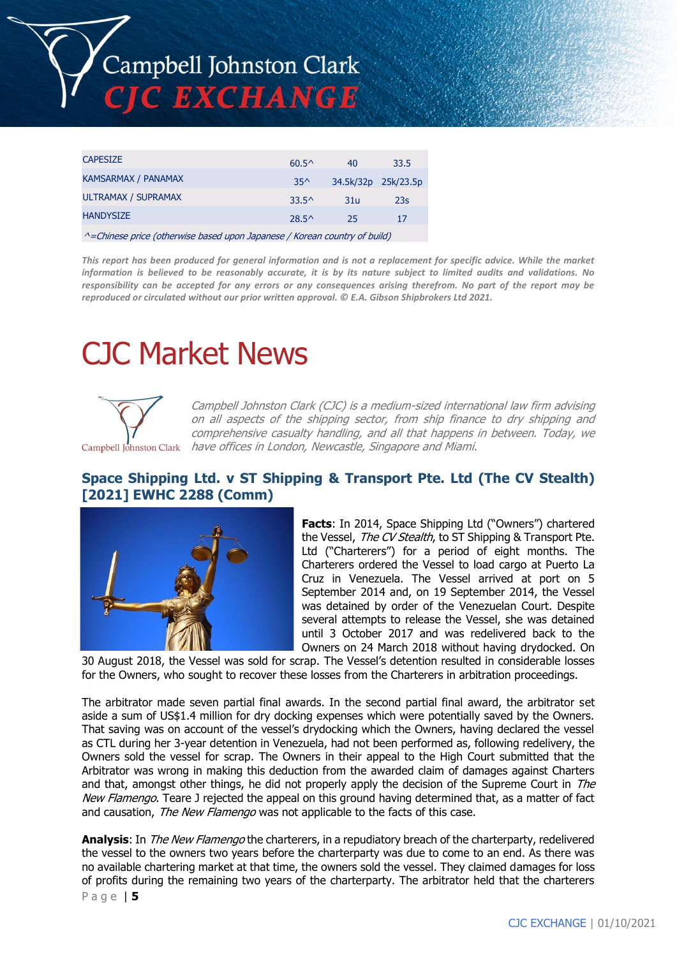

| <b>CAPESIZE</b>                                                                   | $60.5^{\circ}$ | 40  | 33.5                |  |  |
|-----------------------------------------------------------------------------------|----------------|-----|---------------------|--|--|
| KAMSARMAX / PANAMAX                                                               | $35^$          |     | 34.5k/32p 25k/23.5p |  |  |
| ULTRAMAX / SUPRAMAX                                                               | 33.5^          | 31u | 23s                 |  |  |
| <b>HANDYSIZE</b>                                                                  | $28.5^{\circ}$ | 25  | 17                  |  |  |
| $\land$ = Chinese price (otherwise based upon Japanese / Korean country of build) |                |     |                     |  |  |

*This report has been produced for general information and is not a replacement for specific advice. While the market information is believed to be reasonably accurate, it is by its nature subject to limited audits and validations. No responsibility can be accepted for any errors or any consequences arising therefrom. No part of the report may be reproduced or circulated without our prior written approval. © E.A. Gibson Shipbrokers Ltd 2021.*

# CJC Market News



Campbell Johnston Clark (CJC) is a medium-sized international law firm advising on all aspects of the shipping sector, from ship finance to dry shipping and comprehensive casualty handling, and all that happens in between. Today, we Campbell Johnston Clark have offices in London, Newcastle, Singapore and Miami.

# **Space Shipping Ltd. v ST Shipping & Transport Pte. Ltd (The CV Stealth) [2021] EWHC 2288 (Comm)**



**Facts**: In 2014, Space Shipping Ltd ("Owners") chartered the Vessel, The CV Stealth, to ST Shipping & Transport Pte. Ltd ("Charterers") for a period of eight months. The Charterers ordered the Vessel to load cargo at Puerto La Cruz in Venezuela. The Vessel arrived at port on 5 September 2014 and, on 19 September 2014, the Vessel was detained by order of the Venezuelan Court. Despite several attempts to release the Vessel, she was detained until 3 October 2017 and was redelivered back to the Owners on 24 March 2018 without having drydocked. On

30 August 2018, the Vessel was sold for scrap. The Vessel's detention resulted in considerable losses for the Owners, who sought to recover these losses from the Charterers in arbitration proceedings.

The arbitrator made seven partial final awards. In the second partial final award, the arbitrator set aside a sum of US\$1.4 million for dry docking expenses which were potentially saved by the Owners. That saving was on account of the vessel's drydocking which the Owners, having declared the vessel as CTL during her 3-year detention in Venezuela, had not been performed as, following redelivery, the Owners sold the vessel for scrap. The Owners in their appeal to the High Court submitted that the Arbitrator was wrong in making this deduction from the awarded claim of damages against Charters and that, amongst other things, he did not properly apply the decision of the Supreme Court in The New Flamengo. Teare J rejected the appeal on this ground having determined that, as a matter of fact and causation, The New Flamengo was not applicable to the facts of this case.

P a g e | **5 Analysis**: In The New Flamengo the charterers, in a repudiatory breach of the charterparty, redelivered the vessel to the owners two years before the charterparty was due to come to an end. As there was no available chartering market at that time, the owners sold the vessel. They claimed damages for loss of profits during the remaining two years of the charterparty. The arbitrator held that the charterers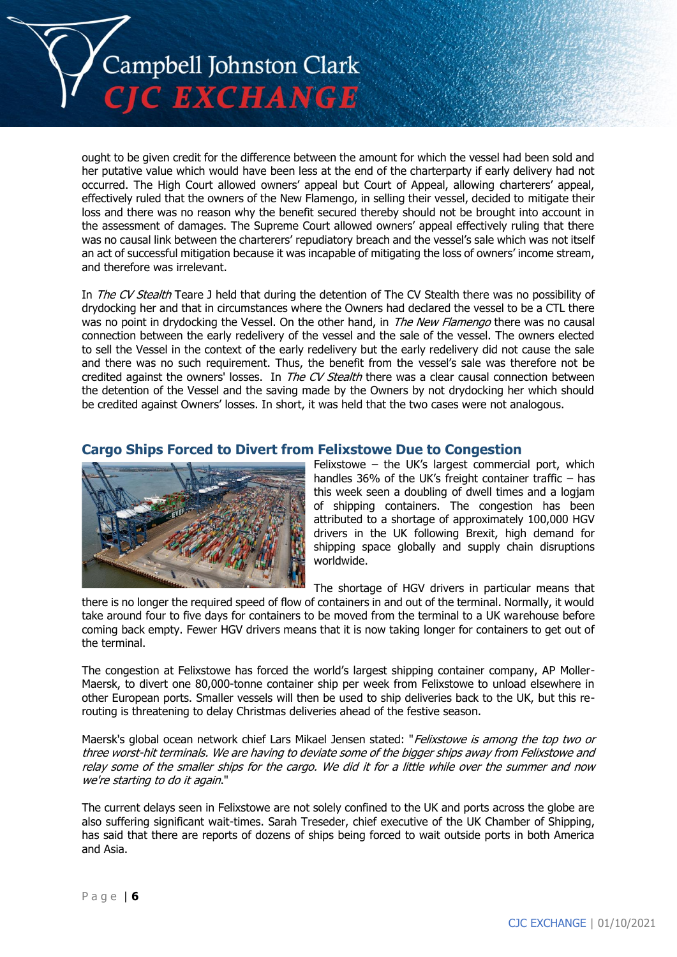

ought to be given credit for the difference between the amount for which the vessel had been sold and her putative value which would have been less at the end of the charterparty if early delivery had not occurred. The High Court allowed owners' appeal but Court of Appeal, allowing charterers' appeal, effectively ruled that the owners of the New Flamengo, in selling their vessel, decided to mitigate their loss and there was no reason why the benefit secured thereby should not be brought into account in the assessment of damages. The Supreme Court allowed owners' appeal effectively ruling that there was no causal link between the charterers' repudiatory breach and the vessel's sale which was not itself an act of successful mitigation because it was incapable of mitigating the loss of owners' income stream, and therefore was irrelevant.

In *The CV Stealth* Teare J held that during the detention of The CV Stealth there was no possibility of drydocking her and that in circumstances where the Owners had declared the vessel to be a CTL there was no point in drydocking the Vessel. On the other hand, in *The New Flamengo* there was no causal connection between the early redelivery of the vessel and the sale of the vessel. The owners elected to sell the Vessel in the context of the early redelivery but the early redelivery did not cause the sale and there was no such requirement. Thus, the benefit from the vessel's sale was therefore not be credited against the owners' losses. In The CV Stealth there was a clear causal connection between the detention of the Vessel and the saving made by the Owners by not drydocking her which should be credited against Owners' losses. In short, it was held that the two cases were not analogous.

## **Cargo Ships Forced to Divert from Felixstowe Due to Congestion**



Felixstowe – the UK's largest commercial port, which handles 36% of the UK's freight container traffic – has this week seen a doubling of dwell times and a logjam of shipping containers. The congestion has been attributed to a shortage of approximately 100,000 HGV drivers in the UK following Brexit, high demand for shipping space globally and supply chain disruptions worldwide.

The shortage of HGV drivers in particular means that

there is no longer the required speed of flow of containers in and out of the terminal. Normally, it would take around four to five days for containers to be moved from the terminal to a UK warehouse before coming back empty. Fewer HGV drivers means that it is now taking longer for containers to get out of the terminal.

The congestion at Felixstowe has forced the world's largest shipping container company, AP Moller-Maersk, to divert one 80,000-tonne container ship per week from Felixstowe to unload elsewhere in other European ports. Smaller vessels will then be used to ship deliveries back to the UK, but this rerouting is threatening to delay Christmas deliveries ahead of the festive season.

Maersk's global ocean network chief Lars Mikael Jensen stated: "Felixstowe is among the top two or three worst-hit terminals. We are having to deviate some of the bigger ships away from Felixstowe and relay some of the smaller ships for the cargo. We did it for a little while over the summer and now we're starting to do it again."

The current delays seen in Felixstowe are not solely confined to the UK and ports across the globe are also suffering significant wait-times. Sarah Treseder, chief executive of the UK Chamber of Shipping, has said that there are reports of dozens of ships being forced to wait outside ports in both America and Asia.